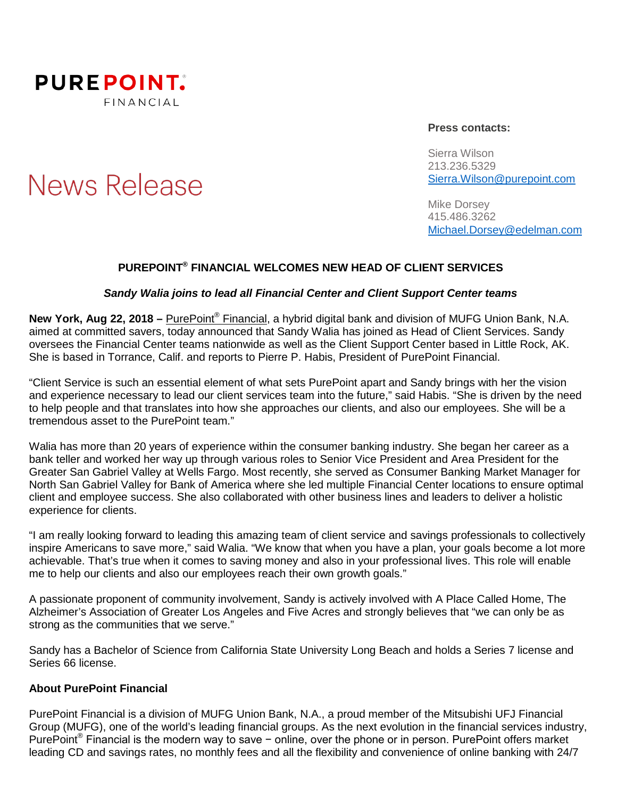

**News Release** 

#### **Press contacts:**

Sierra Wilson 213.236.5329 [Sierra.Wilson@purepoint.com](mailto:Sierra.Wilson@purepoint.com)

Mike Dorsey 415.486.3262 [Michael.Dorsey@edelman.com](mailto:Michael.Dorsey@edelman.com)

## **PUREPOINT® FINANCIAL WELCOMES NEW HEAD OF CLIENT SERVICES**

### *Sandy Walia joins to lead all Financial Center and Client Support Center teams*

**New York, Aug 22, 2018 –** [PurePoint®](https://www.purepoint.com/) [Financial,](https://www.purepoint.com/) a hybrid digital bank and division of MUFG Union Bank, N.A. aimed at committed savers, today announced that Sandy Walia has joined as Head of Client Services. Sandy oversees the Financial Center teams nationwide as well as the Client Support Center based in Little Rock, AK. She is based in Torrance, Calif. and reports to Pierre P. Habis, President of PurePoint Financial.

"Client Service is such an essential element of what sets PurePoint apart and Sandy brings with her the vision and experience necessary to lead our client services team into the future," said Habis. "She is driven by the need to help people and that translates into how she approaches our clients, and also our employees. She will be a tremendous asset to the PurePoint team."

Walia has more than 20 years of experience within the consumer banking industry. She began her career as a bank teller and worked her way up through various roles to Senior Vice President and Area President for the Greater San Gabriel Valley at Wells Fargo. Most recently, she served as Consumer Banking Market Manager for North San Gabriel Valley for Bank of America where she led multiple Financial Center locations to ensure optimal client and employee success. She also collaborated with other business lines and leaders to deliver a holistic experience for clients.

"I am really looking forward to leading this amazing team of client service and savings professionals to collectively inspire Americans to save more," said Walia. "We know that when you have a plan, your goals become a lot more achievable. That's true when it comes to saving money and also in your professional lives. This role will enable me to help our clients and also our employees reach their own growth goals."

A passionate proponent of community involvement, Sandy is actively involved with A Place Called Home, The Alzheimer's Association of Greater Los Angeles and Five Acres and strongly believes that "we can only be as strong as the communities that we serve."

Sandy has a Bachelor of Science from California State University Long Beach and holds a Series 7 license and Series 66 license.

#### **About PurePoint Financial**

PurePoint Financial is a division of MUFG Union Bank, N.A., a proud member of the Mitsubishi UFJ Financial Group (MUFG), one of the world's leading financial groups. As the next evolution in the financial services industry, PurePoint<sup>®</sup> Financial is the modern way to save − online, over the phone or in person. PurePoint offers market leading CD and savings rates, no monthly fees and all the flexibility and convenience of online banking with 24/7